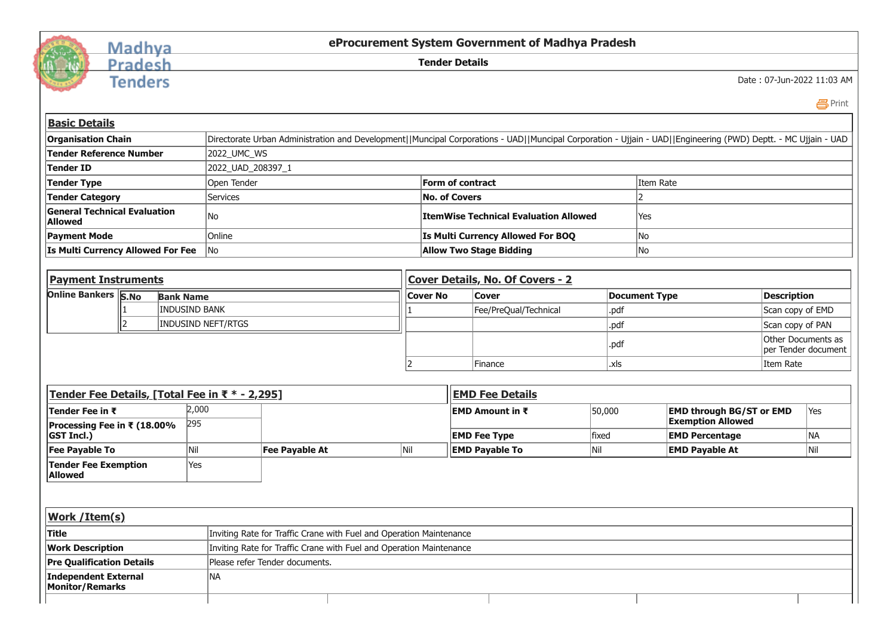

## Madhya<br>Pradesh

**Tenders** 

## **eProcurement System Government of Madhya Pradesh**

**Tender Details**

Date : 07-Jun-2022 11:03 AM

 [Print](javascript:void(0);)

| <b>Basic Details</b>                                                                           |                                                |                       |                           |     |                                                                     |                                              |                                                                                                                                                                |                       |                                 |                          |                    |                     |
|------------------------------------------------------------------------------------------------|------------------------------------------------|-----------------------|---------------------------|-----|---------------------------------------------------------------------|----------------------------------------------|----------------------------------------------------------------------------------------------------------------------------------------------------------------|-----------------------|---------------------------------|--------------------------|--------------------|---------------------|
| <b>Organisation Chain</b>                                                                      |                                                |                       |                           |     |                                                                     |                                              | Directorate Urban Administration and Development  Muncipal Corporations - UAD  Muncipal Corporation - Ujjain - UAD  Engineering (PWD) Deptt. - MC Ujjain - UAD |                       |                                 |                          |                    |                     |
| <b>Tender Reference Number</b>                                                                 |                                                | 2022_UMC_WS           |                           |     |                                                                     |                                              |                                                                                                                                                                |                       |                                 |                          |                    |                     |
| <b>Tender ID</b>                                                                               |                                                |                       | 2022_UAD_208397_1         |     |                                                                     |                                              |                                                                                                                                                                |                       |                                 |                          |                    |                     |
| <b>Tender Type</b>                                                                             |                                                |                       | Open Tender               |     |                                                                     |                                              | Form of contract                                                                                                                                               | Item Rate             |                                 |                          |                    |                     |
| <b>Tender Category</b>                                                                         |                                                |                       | <b>Services</b>           |     |                                                                     | <b>No. of Covers</b>                         |                                                                                                                                                                |                       |                                 |                          |                    |                     |
| <b>General Technical Evaluation</b><br><b>Allowed</b>                                          |                                                |                       | No                        |     |                                                                     |                                              | <b>ItemWise Technical Evaluation Allowed</b>                                                                                                                   | Yes                   |                                 |                          |                    |                     |
| <b>Payment Mode</b>                                                                            |                                                |                       | Online                    |     |                                                                     |                                              | Is Multi Currency Allowed For BOQ                                                                                                                              | No                    |                                 |                          |                    |                     |
| Is Multi Currency Allowed For Fee                                                              |                                                |                       | <b>No</b>                 |     |                                                                     |                                              | <b>Allow Two Stage Bidding</b>                                                                                                                                 | No                    |                                 |                          |                    |                     |
|                                                                                                |                                                |                       |                           |     |                                                                     |                                              |                                                                                                                                                                |                       |                                 |                          |                    |                     |
| <b>Payment Instruments</b>                                                                     |                                                |                       |                           |     |                                                                     |                                              | Cover Details, No. Of Covers - 2                                                                                                                               |                       |                                 |                          |                    |                     |
|                                                                                                | <b>Online Bankers S.No</b><br><b>Bank Name</b> |                       |                           |     |                                                                     |                                              | <b>Cover</b>                                                                                                                                                   |                       | <b>Document Type</b>            | <b>Description</b>       |                    |                     |
| <b>INDUSIND BANK</b>                                                                           |                                                |                       |                           |     |                                                                     |                                              | Fee/PreQual/Technical                                                                                                                                          | .pdf                  |                                 |                          | Scan copy of EMD   |                     |
|                                                                                                | $\overline{\phantom{a}}$                       |                       | <b>INDUSIND NEFT/RTGS</b> |     |                                                                     |                                              |                                                                                                                                                                | .pdf                  |                                 |                          | Scan copy of PAN   |                     |
|                                                                                                |                                                |                       |                           |     |                                                                     |                                              |                                                                                                                                                                | .pdf                  |                                 |                          | Other Documents as | ber Tender document |
|                                                                                                |                                                |                       |                           |     |                                                                     |                                              | Finance                                                                                                                                                        | .xls                  |                                 |                          | Item Rate          |                     |
|                                                                                                |                                                |                       |                           |     |                                                                     |                                              |                                                                                                                                                                |                       |                                 |                          |                    |                     |
| Tender Fee Details, [Total Fee in ₹ * - 2,295]                                                 |                                                |                       |                           |     |                                                                     |                                              | <b>EMD Fee Details</b>                                                                                                                                         |                       |                                 |                          |                    |                     |
| 2,000<br>Tender Fee in ₹                                                                       |                                                |                       |                           |     |                                                                     | <b>EMD Amount in <math>\bar{\tau}</math></b> | 50,000                                                                                                                                                         |                       | <b>EMD through BG/ST or EMD</b> |                          | lYes               |                     |
| Processing Fee in ₹ (18.00%                                                                    |                                                | 295                   |                           |     |                                                                     |                                              |                                                                                                                                                                |                       |                                 | <b>Exemption Allowed</b> |                    |                     |
| <b>GST Incl.)</b>                                                                              |                                                |                       |                           |     |                                                                     |                                              | <b>EMD Fee Type</b>                                                                                                                                            | fixed                 | <b>EMD Percentage</b>           |                          |                    | NA                  |
| <b>Fee Payable To</b><br> Nil                                                                  |                                                | <b>Fee Payable At</b> |                           | Nil |                                                                     | <b>EMD Payable To</b><br> Nil                |                                                                                                                                                                | <b>EMD Payable At</b> |                                 | Nil                      |                    |                     |
| <b>Tender Fee Exemption</b><br><b>Allowed</b>                                                  |                                                | Yes                   |                           |     |                                                                     |                                              |                                                                                                                                                                |                       |                                 |                          |                    |                     |
|                                                                                                |                                                |                       |                           |     |                                                                     |                                              |                                                                                                                                                                |                       |                                 |                          |                    |                     |
|                                                                                                |                                                |                       |                           |     |                                                                     |                                              |                                                                                                                                                                |                       |                                 |                          |                    |                     |
| Work / Item(s)                                                                                 |                                                |                       |                           |     |                                                                     |                                              |                                                                                                                                                                |                       |                                 |                          |                    |                     |
| <b>Title</b>                                                                                   |                                                |                       |                           |     | Inviting Rate for Traffic Crane with Fuel and Operation Maintenance |                                              |                                                                                                                                                                |                       |                                 |                          |                    |                     |
| Inviting Rate for Traffic Crane with Fuel and Operation Maintenance<br><b>Work Description</b> |                                                |                       |                           |     |                                                                     |                                              |                                                                                                                                                                |                       |                                 |                          |                    |                     |
| <b>Pre Qualification Details</b><br>Please refer Tender documents.                             |                                                |                       |                           |     |                                                                     |                                              |                                                                                                                                                                |                       |                                 |                          |                    |                     |
| <b>Independent External</b><br><b>Monitor/Remarks</b>                                          |                                                |                       | NA                        |     |                                                                     |                                              |                                                                                                                                                                |                       |                                 |                          |                    |                     |
|                                                                                                |                                                |                       |                           |     |                                                                     |                                              |                                                                                                                                                                |                       |                                 |                          |                    |                     |